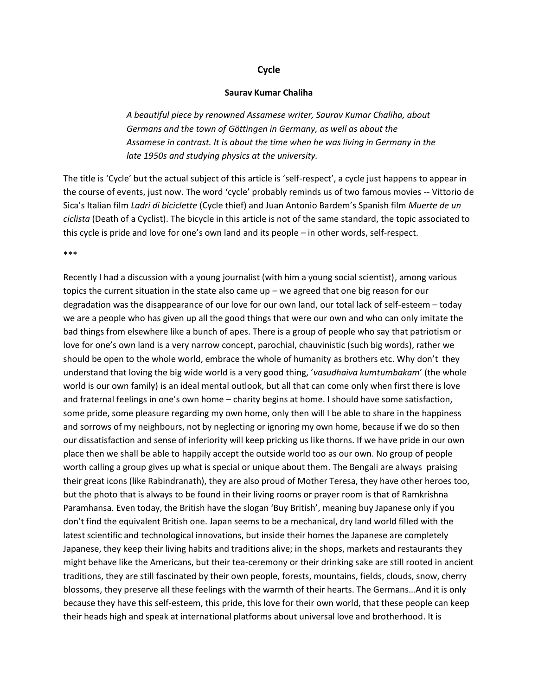## **Cycle**

## **Saurav Kumar Chaliha**

*A beautiful piece by renowned Assamese writer, Saurav Kumar Chaliha, about Germans and the town of Göttingen in Germany, as well as about the Assamese in contrast. It is about the time when he was living in Germany in the late 1950s and studying physics at the university.*

The title is 'Cycle' but the actual subject of this article is 'self-respect', a cycle just happens to appear in the course of events, just now. The word 'cycle' probably reminds us of two famous movies -- [Vittorio de](https://de.wikipedia.org/wiki/Vittorio_de_Sica)  [Sica](https://de.wikipedia.org/wiki/Vittorio_de_Sica)'s Italian film *Ladri di biciclette* (Cycle thief) and [Juan Antonio Bardem](https://en.wikipedia.org/wiki/Juan_Antonio_Bardem)'s Spanish film *Muerte de un ciclista* (Death of a Cyclist). The bicycle in this article is not of the same standard, the topic associated to this cycle is pride and love for one's own land and its people – in other words, self-respect.

\*\*\*

Recently I had a discussion with a young journalist (with him a young social scientist), among various topics the current situation in the state also came up – we agreed that one big reason for our degradation was the disappearance of our love for our own land, our total lack of self-esteem – today we are a people who has given up all the good things that were our own and who can only imitate the bad things from elsewhere like a bunch of apes. There is a group of people who say that patriotism or love for one's own land is a very narrow concept, parochial, chauvinistic (such big words), rather we should be open to the whole world, embrace the whole of humanity as brothers etc. Why don't they understand that loving the big wide world is a very good thing, '*vasudhaiva kumtumbakam*' (the whole world is our own family) is an ideal mental outlook, but all that can come only when first there is love and fraternal feelings in one's own home – charity begins at home. I should have some satisfaction, some pride, some pleasure regarding my own home, only then will I be able to share in the happiness and sorrows of my neighbours, not by neglecting or ignoring my own home, because if we do so then our dissatisfaction and sense of inferiority will keep pricking us like thorns. If we have pride in our own place then we shall be able to happily accept the outside world too as our own. No group of people worth calling a group gives up what is special or unique about them. The Bengali are always praising their great icons (like Rabindranath), they are also proud of Mother Teresa, they have other heroes too, but the photo that is always to be found in their living rooms or prayer room is that of Ramkrishna Paramhansa. Even today, the British have the slogan 'Buy British', meaning buy Japanese only if you don't find the equivalent British one. Japan seems to be a mechanical, dry land world filled with the latest scientific and technological innovations, but inside their homes the Japanese are completely Japanese, they keep their living habits and traditions alive; in the shops, markets and restaurants they might behave like the Americans, but their tea-ceremony or their drinking sake are still rooted in ancient traditions, they are still fascinated by their own people, forests, mountains, fields, clouds, snow, cherry blossoms, they preserve all these feelings with the warmth of their hearts. The Germans…And it is only because they have this self-esteem, this pride, this love for their own world, that these people can keep their heads high and speak at international platforms about universal love and brotherhood. It is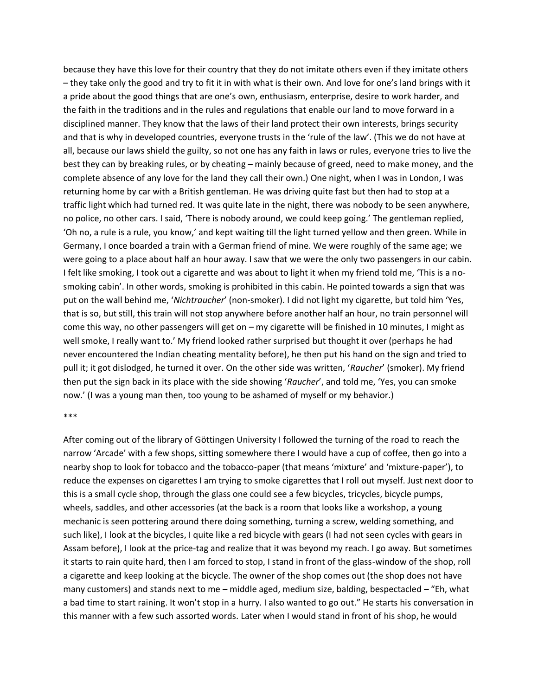because they have this love for their country that they do not imitate others even if they imitate others – they take only the good and try to fit it in with what is their own. And love for one's land brings with it a pride about the good things that are one's own, enthusiasm, enterprise, desire to work harder, and the faith in the traditions and in the rules and regulations that enable our land to move forward in a disciplined manner. They know that the laws of their land protect their own interests, brings security and that is why in developed countries, everyone trusts in the 'rule of the law'. (This we do not have at all, because our laws shield the guilty, so not one has any faith in laws or rules, everyone tries to live the best they can by breaking rules, or by cheating – mainly because of greed, need to make money, and the complete absence of any love for the land they call their own.) One night, when I was in London, I was returning home by car with a British gentleman. He was driving quite fast but then had to stop at a traffic light which had turned red. It was quite late in the night, there was nobody to be seen anywhere, no police, no other cars. I said, 'There is nobody around, we could keep going.' The gentleman replied, 'Oh no, a rule is a rule, you know,' and kept waiting till the light turned yellow and then green. While in Germany, I once boarded a train with a German friend of mine. We were roughly of the same age; we were going to a place about half an hour away. I saw that we were the only two passengers in our cabin. I felt like smoking, I took out a cigarette and was about to light it when my friend told me, 'This is a nosmoking cabin'. In other words, smoking is prohibited in this cabin. He pointed towards a sign that was put on the wall behind me, '*Nichtraucher*' (non-smoker). I did not light my cigarette, but told him 'Yes, that is so, but still, this train will not stop anywhere before another half an hour, no train personnel will come this way, no other passengers will get on – my cigarette will be finished in 10 minutes, I might as well smoke, I really want to.' My friend looked rather surprised but thought it over (perhaps he had never encountered the Indian cheating mentality before), he then put his hand on the sign and tried to pull it; it got dislodged, he turned it over. On the other side was written, '*Raucher*' (smoker). My friend then put the sign back in its place with the side showing '*Raucher*', and told me, 'Yes, you can smoke now.' (I was a young man then, too young to be ashamed of myself or my behavior.)

## \*\*\*

After coming out of the library of Göttingen University I followed the turning of the road to reach the narrow 'Arcade' with a few shops, sitting somewhere there I would have a cup of coffee, then go into a nearby shop to look for tobacco and the tobacco-paper (that means 'mixture' and 'mixture-paper'), to reduce the expenses on cigarettes I am trying to smoke cigarettes that I roll out myself. Just next door to this is a small cycle shop, through the glass one could see a few bicycles, tricycles, bicycle pumps, wheels, saddles, and other accessories (at the back is a room that looks like a workshop, a young mechanic is seen pottering around there doing something, turning a screw, welding something, and such like), I look at the bicycles, I quite like a red bicycle with gears (I had not seen cycles with gears in Assam before), I look at the price-tag and realize that it was beyond my reach. I go away. But sometimes it starts to rain quite hard, then I am forced to stop, I stand in front of the glass-window of the shop, roll a cigarette and keep looking at the bicycle. The owner of the shop comes out (the shop does not have many customers) and stands next to me – middle aged, medium size, balding, bespectacled – "Eh, what a bad time to start raining. It won't stop in a hurry. I also wanted to go out." He starts his conversation in this manner with a few such assorted words. Later when I would stand in front of his shop, he would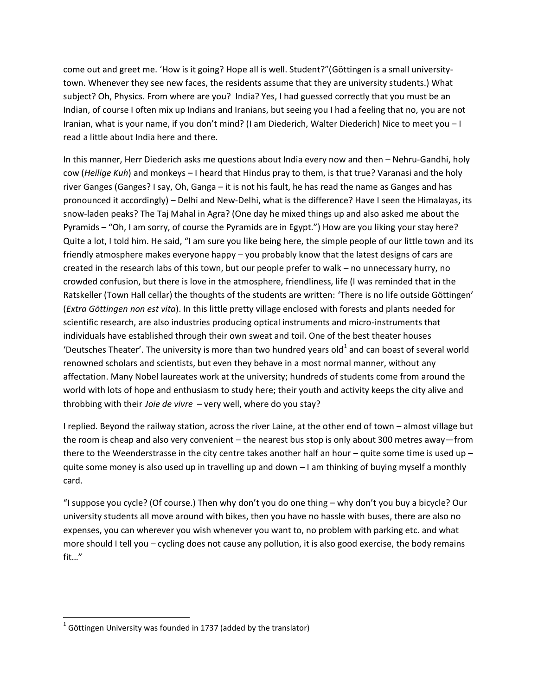come out and greet me. 'How is it going? Hope all is well. Student?"(Göttingen is a small universitytown. Whenever they see new faces, the residents assume that they are university students.) What subject? Oh, Physics. From where are you? India? Yes, I had guessed correctly that you must be an Indian, of course I often mix up Indians and Iranians, but seeing you I had a feeling that no, you are not Iranian, what is your name, if you don't mind? (I am Diederich, Walter Diederich) Nice to meet you – I read a little about India here and there.

In this manner, Herr Diederich asks me questions about India every now and then – Nehru-Gandhi, holy cow (*Heilige Kuh*) and monkeys – I heard that Hindus pray to them, is that true? Varanasi and the holy river Ganges (Ganges? I say, Oh, Ganga – it is not his fault, he has read the name as Ganges and has pronounced it accordingly) – Delhi and New-Delhi, what is the difference? Have I seen the Himalayas, its snow-laden peaks? The Taj Mahal in Agra? (One day he mixed things up and also asked me about the Pyramids – "Oh, I am sorry, of course the Pyramids are in Egypt.") How are you liking your stay here? Quite a lot, I told him. He said, "I am sure you like being here, the simple people of our little town and its friendly atmosphere makes everyone happy – you probably know that the latest designs of cars are created in the research labs of this town, but our people prefer to walk – no unnecessary hurry, no crowded confusion, but there is love in the atmosphere, friendliness, life (I was reminded that in the Ratskeller (Town Hall cellar) the thoughts of the students are written: 'There is no life outside Göttingen' (*Extra Göttingen non est vita*). In this little pretty village enclosed with forests and plants needed for scientific research, are also industries producing optical instruments and micro-instruments that individuals have established through their own sweat and toil. One of the best theater houses 'Deutsches Theater'. The university is more than two hundred years old<sup>1</sup> and can boast of several world renowned scholars and scientists, but even they behave in a most normal manner, without any affectation. Many Nobel laureates work at the university; hundreds of students come from around the world with lots of hope and enthusiasm to study here; their youth and activity keeps the city alive and throbbing with their *Joie de vivre* – very well, where do you stay?

I replied. Beyond the railway station, across the river Laine, at the other end of town – almost village but the room is cheap and also very convenient – the nearest bus stop is only about 300 metres away—from there to the Weenderstrasse in the city centre takes another half an hour – quite some time is used up – quite some money is also used up in travelling up and down – I am thinking of buying myself a monthly card.

"I suppose you cycle? (Of course.) Then why don't you do one thing – why don't you buy a bicycle? Our university students all move around with bikes, then you have no hassle with buses, there are also no expenses, you can wherever you wish whenever you want to, no problem with parking etc. and what more should I tell you – cycling does not cause any pollution, it is also good exercise, the body remains fit…"

l

 $^{1}$  Göttingen University was founded in 1737 (added by the translator)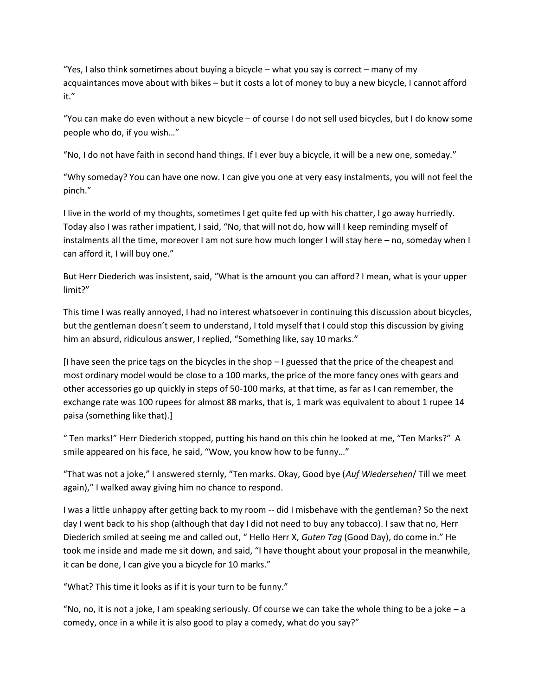"Yes, I also think sometimes about buying a bicycle – what you say is correct – many of my acquaintances move about with bikes – but it costs a lot of money to buy a new bicycle, I cannot afford it."

"You can make do even without a new bicycle – of course I do not sell used bicycles, but I do know some people who do, if you wish…"

"No, I do not have faith in second hand things. If I ever buy a bicycle, it will be a new one, someday."

"Why someday? You can have one now. I can give you one at very easy instalments, you will not feel the pinch."

I live in the world of my thoughts, sometimes I get quite fed up with his chatter, I go away hurriedly. Today also I was rather impatient, I said, "No, that will not do, how will I keep reminding myself of instalments all the time, moreover I am not sure how much longer I will stay here – no, someday when I can afford it, I will buy one."

But Herr Diederich was insistent, said, "What is the amount you can afford? I mean, what is your upper limit?"

This time I was really annoyed, I had no interest whatsoever in continuing this discussion about bicycles, but the gentleman doesn't seem to understand, I told myself that I could stop this discussion by giving him an absurd, ridiculous answer, I replied, "Something like, say 10 marks."

[I have seen the price tags on the bicycles in the shop – I guessed that the price of the cheapest and most ordinary model would be close to a 100 marks, the price of the more fancy ones with gears and other accessories go up quickly in steps of 50-100 marks, at that time, as far as I can remember, the exchange rate was 100 rupees for almost 88 marks, that is, 1 mark was equivalent to about 1 rupee 14 paisa (something like that).]

" Ten marks!" Herr Diederich stopped, putting his hand on this chin he looked at me, "Ten Marks?" A smile appeared on his face, he said, "Wow, you know how to be funny…"

"That was not a joke," I answered sternly, "Ten marks. Okay, Good bye (*Auf Wiedersehen*/ Till we meet again)," I walked away giving him no chance to respond.

I was a little unhappy after getting back to my room -- did I misbehave with the gentleman? So the next day I went back to his shop (although that day I did not need to buy any tobacco). I saw that no, Herr Diederich smiled at seeing me and called out, " Hello Herr X, *Guten Tag* (Good Day), do come in." He took me inside and made me sit down, and said, "I have thought about your proposal in the meanwhile, it can be done, I can give you a bicycle for 10 marks."

"What? This time it looks as if it is your turn to be funny."

"No, no, it is not a joke, I am speaking seriously. Of course we can take the whole thing to be a joke – a comedy, once in a while it is also good to play a comedy, what do you say?"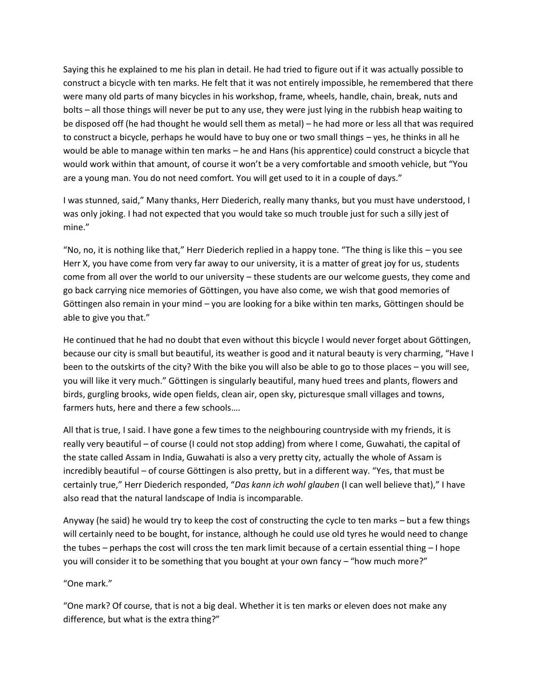Saying this he explained to me his plan in detail. He had tried to figure out if it was actually possible to construct a bicycle with ten marks. He felt that it was not entirely impossible, he remembered that there were many old parts of many bicycles in his workshop, frame, wheels, handle, chain, break, nuts and bolts – all those things will never be put to any use, they were just lying in the rubbish heap waiting to be disposed off (he had thought he would sell them as metal) – he had more or less all that was required to construct a bicycle, perhaps he would have to buy one or two small things – yes, he thinks in all he would be able to manage within ten marks – he and Hans (his apprentice) could construct a bicycle that would work within that amount, of course it won't be a very comfortable and smooth vehicle, but "You are a young man. You do not need comfort. You will get used to it in a couple of days."

I was stunned, said," Many thanks, Herr Diederich, really many thanks, but you must have understood, I was only joking. I had not expected that you would take so much trouble just for such a silly jest of mine."

"No, no, it is nothing like that," Herr Diederich replied in a happy tone. "The thing is like this  $-$  you see Herr X, you have come from very far away to our university, it is a matter of great joy for us, students come from all over the world to our university – these students are our welcome guests, they come and go back carrying nice memories of Göttingen, you have also come, we wish that good memories of Göttingen also remain in your mind – you are looking for a bike within ten marks, Göttingen should be able to give you that."

He continued that he had no doubt that even without this bicycle I would never forget about Göttingen, because our city is small but beautiful, its weather is good and it natural beauty is very charming, "Have I been to the outskirts of the city? With the bike you will also be able to go to those places – you will see, you will like it very much." Göttingen is singularly beautiful, many hued trees and plants, flowers and birds, gurgling brooks, wide open fields, clean air, open sky, picturesque small villages and towns, farmers huts, here and there a few schools….

All that is true, I said. I have gone a few times to the neighbouring countryside with my friends, it is really very beautiful – of course (I could not stop adding) from where I come, Guwahati, the capital of the state called Assam in India, Guwahati is also a very pretty city, actually the whole of Assam is incredibly beautiful – of course Göttingen is also pretty, but in a different way. "Yes, that must be certainly true," Herr Diederich responded, "*Das kann ich wohl glauben* (I can well believe that)," I have also read that the natural landscape of India is incomparable.

Anyway (he said) he would try to keep the cost of constructing the cycle to ten marks – but a few things will certainly need to be bought, for instance, although he could use old tyres he would need to change the tubes – perhaps the cost will cross the ten mark limit because of a certain essential thing – I hope you will consider it to be something that you bought at your own fancy – "how much more?"

"One mark."

"One mark? Of course, that is not a big deal. Whether it is ten marks or eleven does not make any difference, but what is the extra thing?"